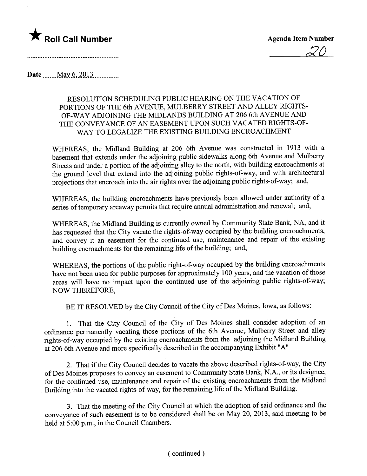

20

Date  $\text{May } 6, 2013$ 

## RESOLUTION SCHEDULING PUBLIC HEARING ON THE VACATION OF PORTIONS OF THE 6th AVENUE, MULBERRY STREET AND ALLEY RIGHTS-OF-WAY ADJOINING THE MIDLANDS BUILDING AT 206 6th AVENUE AND THE CONVEYANCE OF AN EASEMENT UPON SUCH VACATED RIGHTS-OF-WAY TO LEGALIZE THE EXISTING BUILDING ENCROACHMENT

WHEREAS, the Midland Building at 206 6th Avenue was constructed in 1913 with a basement that extends under the adjoining public sidewalks along 6th Avenue and Mulberry Streets and under a portion of the adjoining alley to the north, with building encroachments at the ground level that extend into the adjoining public rights-of-way, and with architectural projections that encroach into the air rights over the adjoining public rights-of-way; and,

WHEREAS, the building encroachments have previously been allowed under authority of a series of temporary areaway permits that require annual administration and renewal; and,

WHEREAS, the Midland Building is currently owned by Community State Bank, NA, and it has requested that the City vacate the rights-of-way occupied by the building encroachments, and convey it an easement for the continued use, maintenance and repair of the existing building encroachments for the remaining life of the building; and,

WHEREAS, the portions of the public right-of-way occupied by the building encroachments have not been used for public purposes for approximately 100 years, and the vacation of those areas will have no impact upon the continued use of the adjoining public rights-of-way; NOW THEREFORE,

BE IT RESOLVED by the City Council of the City of Des Moines, Iowa, as follows:

1. That the City Council of the City of Des Moines shall consider adoption of an ordinance permanently vacating those portions of the 6th Avenue, Mulberry Street and alley rights-of-way occupied by the existing encroachments from the adjoining the Midland Building at 206 6th Avenue and more specifically described in the accompanying Exhibit "A"

2. That if the City Council decides to vacate the above described rights-of-way, the City of Des Moines proposes to convey an easement to Community State Bank, N.A., or its designee, for the continued use, maintenance and repair of the existing encroachments from the Midland Building into the vacated rights-of-way, for the remaining life of the Midland Building.

3. That the meeting of the City Council at which the adoption of said ordinance and the conveyance of such easement is to be considered shall be on May 20, 2013, said meeting to be held at 5:00 p.m., in the Council Chambers.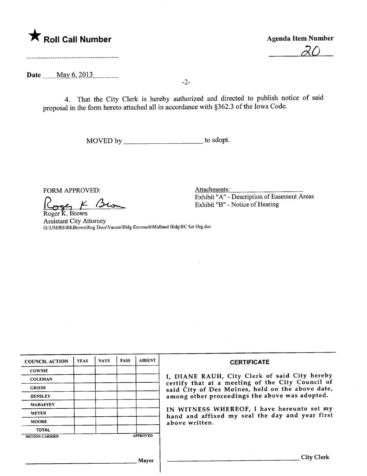# \* Roll Call Number Agenda Item Number

<u>20</u>

Date \_\_\_\_\_ May 6, 2013

4. That the City Clerk is hereby authorized and directed to publish notice of said proposal in the form hereto attached all in accordance with §362.3 of the Iowa Code.

-2-

MOVED by \_\_\_\_\_\_\_\_\_\_\_\_\_\_\_\_\_\_\_\_\_\_\_\_\_\_\_\_ to adopt.

FORM APPROVED:

Roger K. Brown

Assistant City Attorney G:\USERS\Rrown\Rog Docs\Vacate\Bldg Encroach\Midland Bldg\RC Set Hrg.doc

| <b>COUNCIL ACTION</b> | <b>YEAS</b> | <b>NAYS</b> | <b>PASS</b> | <b>ABSENT</b>   | <b>CERTIFICATE</b>                                                                                                                                                                                                                                                                                                         |
|-----------------------|-------------|-------------|-------------|-----------------|----------------------------------------------------------------------------------------------------------------------------------------------------------------------------------------------------------------------------------------------------------------------------------------------------------------------------|
| <b>COWNIE</b>         |             |             |             |                 | I, DIANE RAUH, City Clerk of said City hereby<br>certify that at a meeting of the City Council of<br>said City of Des Moines, held on the above date,<br>among other proceedings the above was adopted.<br>IN WITNESS WHEREOF, I have hereunto set my<br>hand and affixed my seal the day and year first<br>above written. |
| <b>COLEMAN</b>        |             |             |             |                 |                                                                                                                                                                                                                                                                                                                            |
| <b>GRIESS</b>         |             |             |             |                 |                                                                                                                                                                                                                                                                                                                            |
| <b>HENSLEY</b>        |             |             |             |                 |                                                                                                                                                                                                                                                                                                                            |
| <b>MAHAFFEY</b>       |             |             |             |                 |                                                                                                                                                                                                                                                                                                                            |
| <b>MEYER</b>          |             |             |             |                 |                                                                                                                                                                                                                                                                                                                            |
| <b>MOORE</b>          |             |             |             |                 |                                                                                                                                                                                                                                                                                                                            |
| <b>TOTAL</b>          |             |             |             |                 |                                                                                                                                                                                                                                                                                                                            |
| <b>MOTION CARRIED</b> |             |             |             | <b>APPROVED</b> |                                                                                                                                                                                                                                                                                                                            |
|                       |             |             |             |                 |                                                                                                                                                                                                                                                                                                                            |
|                       |             |             |             | Mayor           | City Clerk                                                                                                                                                                                                                                                                                                                 |

 $\vert$ 

Attachments:

Exhibit "A" - Description of Easement Areas Exhbit "B" - Notice of Hearing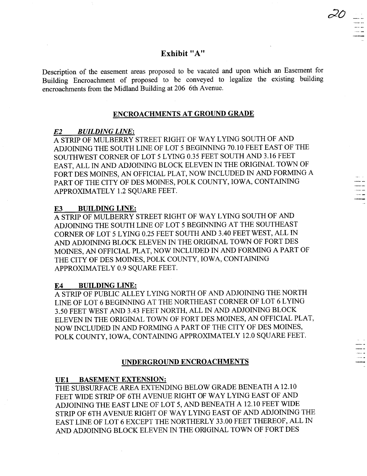# Exhibit "A"

Description of the easement areas proposed to be vacated and upon which an Easement for Building Encroachment of proposed to be conveyed to legalize the existing building encroachments from the Midland Building at 206 6th Avenue.

# ENCROACHMENTS AT GROUND GRADE

#### E2 BUILDING LINE:

A STRIP OF MULBERRY STREET RIGHT OF WAY LYING SOUTH OF AND ADJOINING THE SOUTH LINE OF LOT 5 BEGINNING 70.10 FEET EAST OF THE SOUTHWEST CORNER OF LOT 5 LYING 0.35 FEET SOUTH AND 3.16 FEET EAST, ALL IN AND ADJOINING BLOCK ELEVEN IN THE ORIGINAL TOWN OF FORT DES MOINES, AN OFFICIAL PLAT, NOW INCLUDED IN AND FORMING A PART OF THE CITY OF DES MOINES, POLK COUNTY, IOWA, CONTAINING APPROXIMATELY 1.2 SQUARE FEET.

#### E3 BUILDING LINE:

A STRIP OF MULBERRY STREET RIGHT OF WAY LYING SOUTH OF AND ADJOINING THE SOUTH LINE OF LOT 5 BEGINNING AT THE SOUTHEAST CORNER OF LOT 5 LYING 0.25 FEET SOUTH AND 3.40 FEET WEST, ALL IN AND ADJOINING BLOCK ELEVEN IN THE ORIGINAL TOWN OF FORT DES MOINES, AN OFFICIAL PLAT, NOW INCLUDED IN AND FORMING A PART OF THE CITY OF DES MOINES, POLK COUNTY, IOWA, CONTAINING APPROXIMATELY 0.9 SQUARE FEET.

#### E4 BUILDING LINE:

A STRIP OF PUBLIC ALLEY LYING NORTH OF AND ADJOINING THE NORTH LINE OF LOT 6 BEGINING AT THE NORTHEAST CORNER OF LOT 6 LYING 3.50 FEET WEST AND 3.43 FEET NORTH, ALL IN AND ADJOINING BLOCK ELEVEN IN THE ORIGINAL TOWN OF FORT DES MOINES, AN OFFICIAL PLAT, NOW INCLUDED IN AND FORMING APART OF THE CITY OF DES MOINES, POLK COUNTY, IOWA, CONTAINING APPROXIMATELY 12.0 SQUARE FEET.

## UNDERGROUND ENCROACHMENTS

## UEI BASEMENT EXTENSION:

THE SUBSURFACE AREA EXTENDING BELOW GRADE BENEATH A 12.10 FEET WIDE STRIP OF 6TH AVENUE RIGHT OF WAY LYING EAST OF AND ADJOINING THE EAST LINE OF LOT 5, AND BENEATH A 12.10 FEET WIDE STRIP OF 6TH AVENUE RIGHT OF WAY LYING EAST OF AND ADJOINING THE EAST LINE OF LOT 6 EXCEPT THE NORTHERLY 33.00 FEET THEREOF, ALL IN AND ADJOINING BLOCK ELEVEN IN THE ORIGINAL TOWN OF FORT DES

 $20 -$